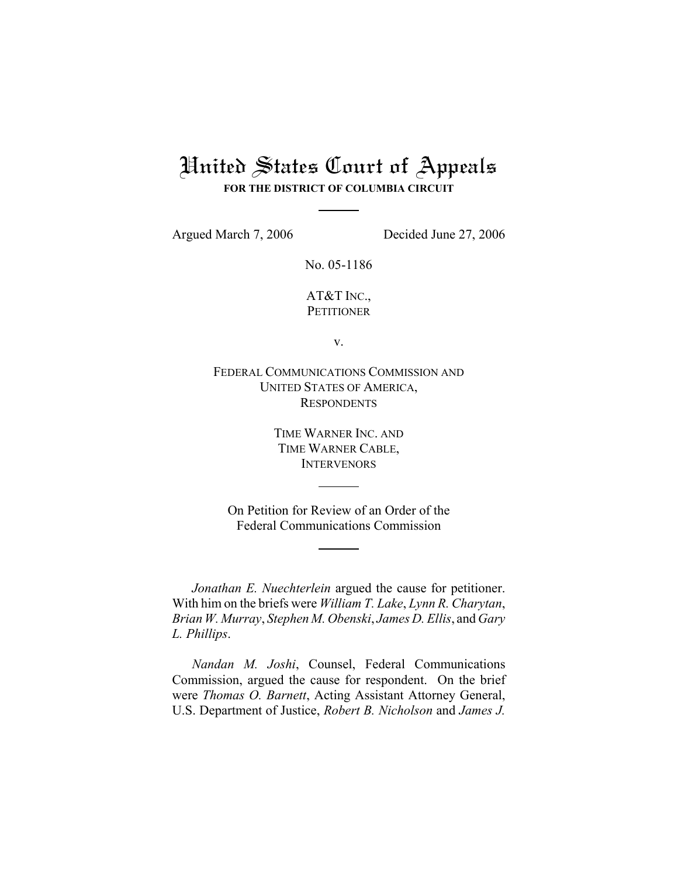## United States Court of Appeals **FOR THE DISTRICT OF COLUMBIA CIRCUIT**

Argued March 7, 2006 Decided June 27, 2006

No. 05-1186

AT&T INC., **PETITIONER** 

v.

FEDERAL COMMUNICATIONS COMMISSION AND UNITED STATES OF AMERICA, **RESPONDENTS** 

> TIME WARNER INC. AND TIME WARNER CABLE, **INTERVENORS**

On Petition for Review of an Order of the Federal Communications Commission

*Jonathan E. Nuechterlein* argued the cause for petitioner. With him on the briefs were *William T. Lake*, *Lynn R. Charytan*, *Brian W. Murray*, *Stephen M. Obenski*, *James D. Ellis*, and *Gary L. Phillips*.

*Nandan M. Joshi*, Counsel, Federal Communications Commission, argued the cause for respondent. On the brief were *Thomas O. Barnett*, Acting Assistant Attorney General, U.S. Department of Justice, *Robert B. Nicholson* and *James J.*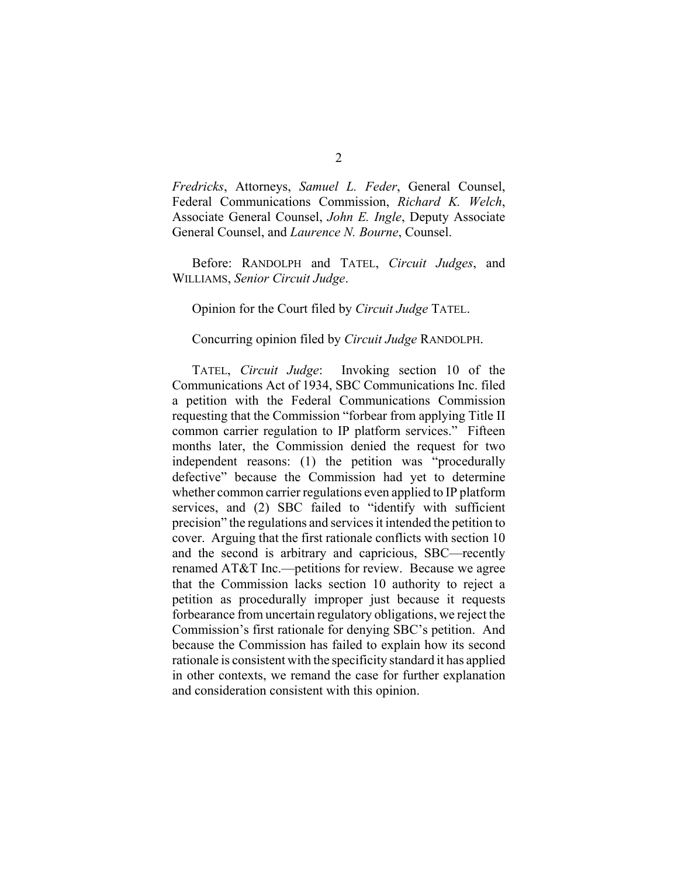*Fredricks*, Attorneys, *Samuel L. Feder*, General Counsel, Federal Communications Commission, *Richard K. Welch*, Associate General Counsel, *John E. Ingle*, Deputy Associate General Counsel, and *Laurence N. Bourne*, Counsel.

Before: RANDOLPH and TATEL, *Circuit Judges*, and WILLIAMS, *Senior Circuit Judge*.

Opinion for the Court filed by *Circuit Judge* TATEL.

## Concurring opinion filed by *Circuit Judge* RANDOLPH.

TATEL, *Circuit Judge*: Invoking section 10 of the Communications Act of 1934, SBC Communications Inc. filed a petition with the Federal Communications Commission requesting that the Commission "forbear from applying Title II common carrier regulation to IP platform services." Fifteen months later, the Commission denied the request for two independent reasons: (1) the petition was "procedurally defective" because the Commission had yet to determine whether common carrier regulations even applied to IP platform services, and (2) SBC failed to "identify with sufficient precision" the regulations and services it intended the petition to cover. Arguing that the first rationale conflicts with section 10 and the second is arbitrary and capricious, SBC—recently renamed AT&T Inc.—petitions for review. Because we agree that the Commission lacks section 10 authority to reject a petition as procedurally improper just because it requests forbearance from uncertain regulatory obligations, we reject the Commission's first rationale for denying SBC's petition. And because the Commission has failed to explain how its second rationale is consistent with the specificity standard it has applied in other contexts, we remand the case for further explanation and consideration consistent with this opinion.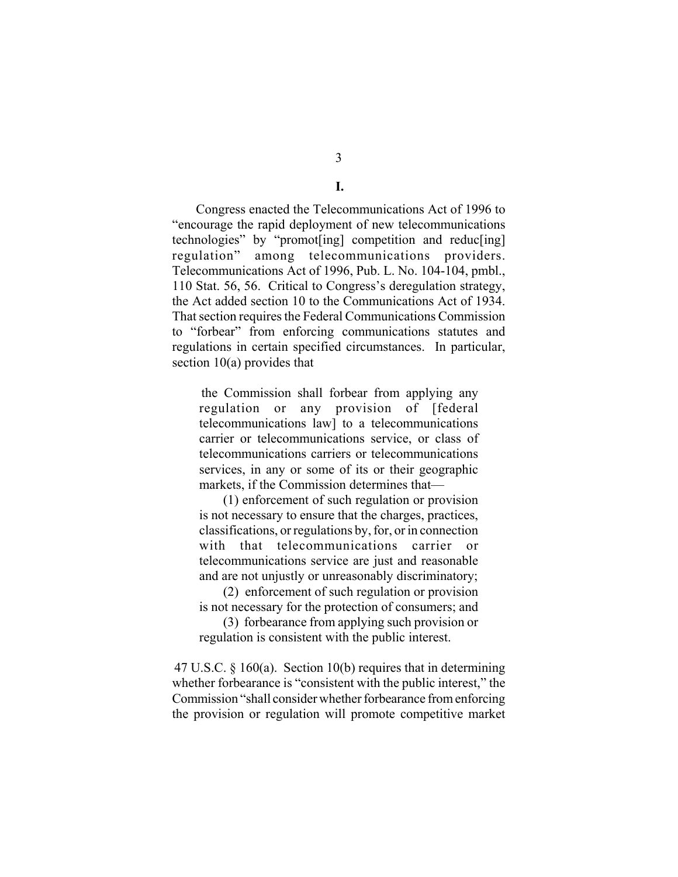3

**I.**

Congress enacted the Telecommunications Act of 1996 to "encourage the rapid deployment of new telecommunications technologies" by "promot[ing] competition and reduc[ing] regulation" among telecommunications providers. Telecommunications Act of 1996, Pub. L. No. 104-104, pmbl., 110 Stat. 56, 56. Critical to Congress's deregulation strategy, the Act added section 10 to the Communications Act of 1934. That section requires the Federal Communications Commission to "forbear" from enforcing communications statutes and regulations in certain specified circumstances. In particular, section 10(a) provides that

the Commission shall forbear from applying any regulation or any provision of [federal telecommunications law] to a telecommunications carrier or telecommunications service, or class of telecommunications carriers or telecommunications services, in any or some of its or their geographic markets, if the Commission determines that—

(1) enforcement of such regulation or provision is not necessary to ensure that the charges, practices, classifications, or regulations by, for, or in connection with that telecommunications carrier or telecommunications service are just and reasonable and are not unjustly or unreasonably discriminatory;

(2) enforcement of such regulation or provision is not necessary for the protection of consumers; and

(3) forbearance from applying such provision or regulation is consistent with the public interest.

47 U.S.C. § 160(a). Section 10(b) requires that in determining whether forbearance is "consistent with the public interest," the Commission "shall consider whether forbearance from enforcing the provision or regulation will promote competitive market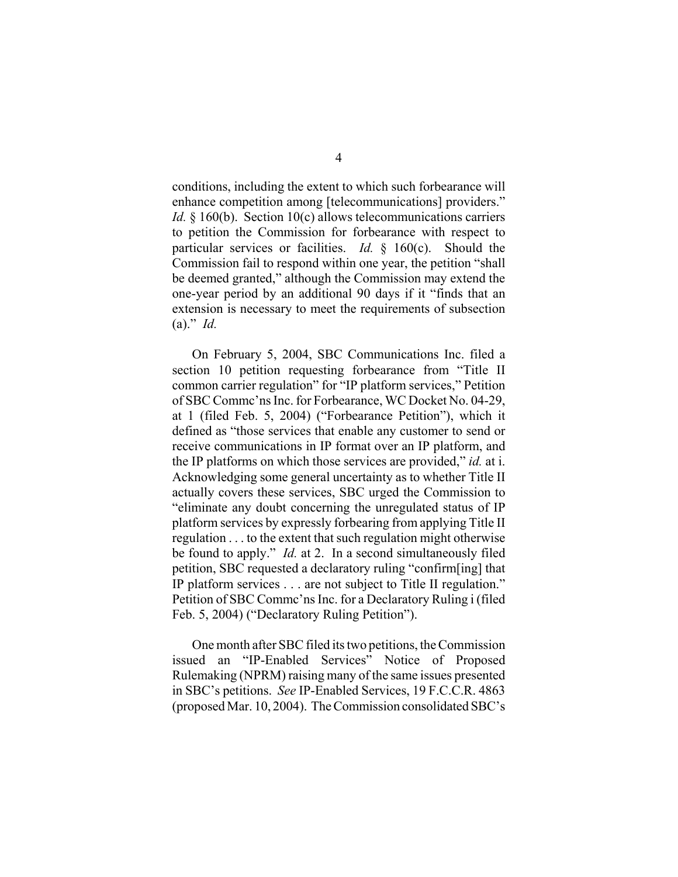conditions, including the extent to which such forbearance will enhance competition among [telecommunications] providers." *Id.* § 160(b). Section 10(c) allows telecommunications carriers to petition the Commission for forbearance with respect to particular services or facilities. *Id.* § 160(c). Should the Commission fail to respond within one year, the petition "shall be deemed granted," although the Commission may extend the one-year period by an additional 90 days if it "finds that an extension is necessary to meet the requirements of subsection (a)." *Id.* 

On February 5, 2004, SBC Communications Inc. filed a section 10 petition requesting forbearance from "Title II common carrier regulation" for "IP platform services," Petition of SBC Commc'ns Inc. for Forbearance, WC Docket No. 04-29, at 1 (filed Feb. 5, 2004) ("Forbearance Petition"), which it defined as "those services that enable any customer to send or receive communications in IP format over an IP platform, and the IP platforms on which those services are provided," *id.* at i. Acknowledging some general uncertainty as to whether Title II actually covers these services, SBC urged the Commission to "eliminate any doubt concerning the unregulated status of IP platform services by expressly forbearing from applying Title II regulation . . . to the extent that such regulation might otherwise be found to apply." *Id.* at 2. In a second simultaneously filed petition, SBC requested a declaratory ruling "confirm[ing] that IP platform services . . . are not subject to Title II regulation." Petition of SBC Commc'ns Inc. for a Declaratory Ruling i (filed Feb. 5, 2004) ("Declaratory Ruling Petition").

One month after SBC filed its two petitions, the Commission issued an "IP-Enabled Services" Notice of Proposed Rulemaking (NPRM) raising many of the same issues presented in SBC's petitions. *See* IP-Enabled Services, 19 F.C.C.R. 4863 (proposed Mar. 10, 2004). The Commission consolidated SBC's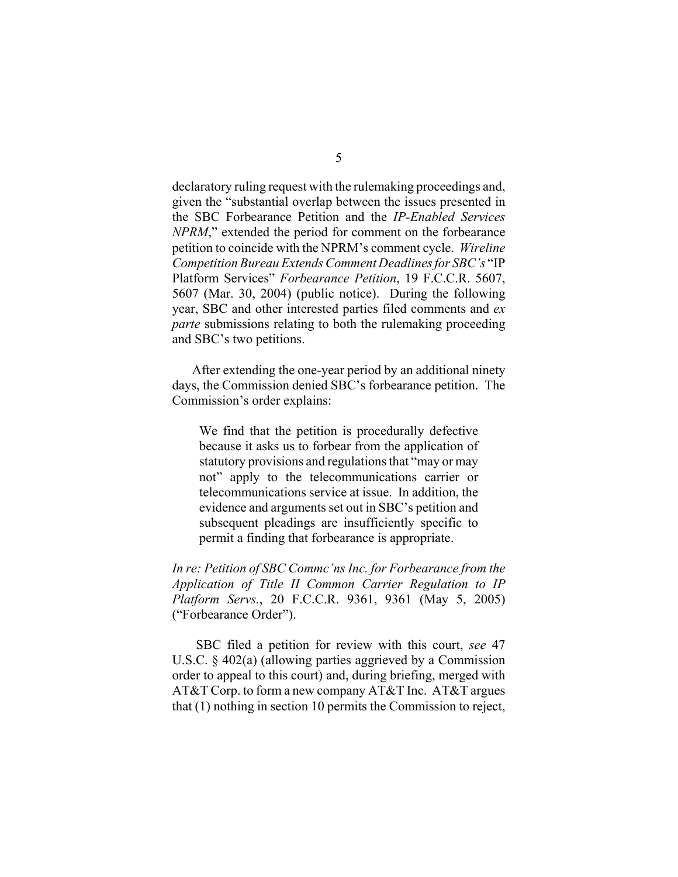declaratory ruling request with the rulemaking proceedings and, given the "substantial overlap between the issues presented in the SBC Forbearance Petition and the *IP-Enabled Services NPRM*," extended the period for comment on the forbearance petition to coincide with the NPRM's comment cycle. *Wireline Competition Bureau Extends Comment Deadlines for SBC's* "IP Platform Services" *Forbearance Petition*, 19 F.C.C.R. 5607, 5607 (Mar. 30, 2004) (public notice). During the following year, SBC and other interested parties filed comments and *ex parte* submissions relating to both the rulemaking proceeding and SBC's two petitions.

After extending the one-year period by an additional ninety days, the Commission denied SBC's forbearance petition. The Commission's order explains:

We find that the petition is procedurally defective because it asks us to forbear from the application of statutory provisions and regulations that "may or may not" apply to the telecommunications carrier or telecommunications service at issue. In addition, the evidence and arguments set out in SBC's petition and subsequent pleadings are insufficiently specific to permit a finding that forbearance is appropriate.

*In re: Petition of SBC Commc'ns Inc. for Forbearance from the Application of Title II Common Carrier Regulation to IP Platform Servs.*, 20 F.C.C.R. 9361, 9361 (May 5, 2005) ("Forbearance Order").

SBC filed a petition for review with this court, *see* 47 U.S.C. § 402(a) (allowing parties aggrieved by a Commission order to appeal to this court) and, during briefing, merged with AT&T Corp. to form a new company AT&T Inc. AT&T argues that (1) nothing in section 10 permits the Commission to reject,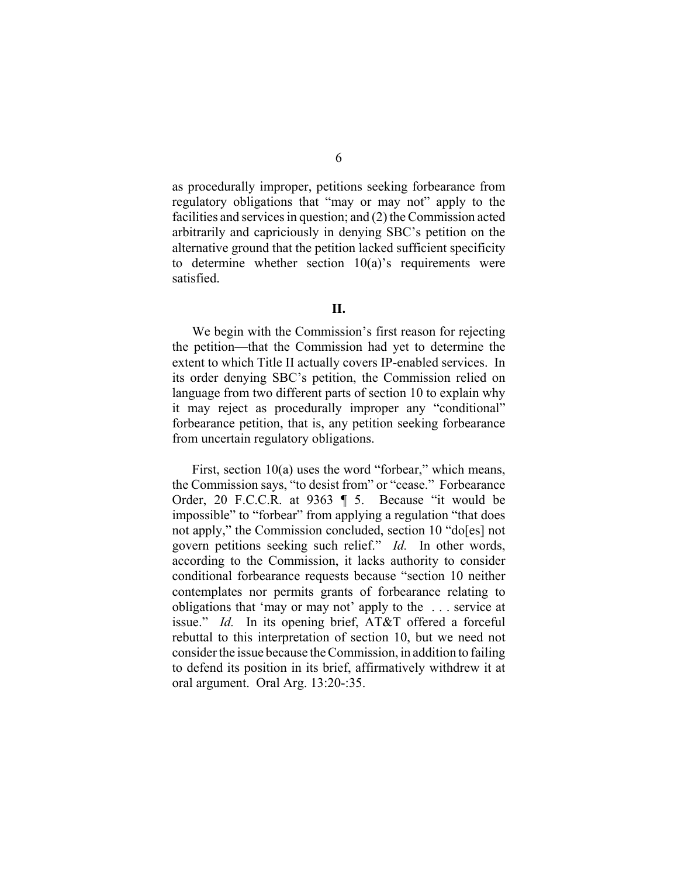as procedurally improper, petitions seeking forbearance from regulatory obligations that "may or may not" apply to the facilities and services in question; and (2) the Commission acted arbitrarily and capriciously in denying SBC's petition on the alternative ground that the petition lacked sufficient specificity to determine whether section  $10(a)$ 's requirements were satisfied.

## **II.**

We begin with the Commission's first reason for rejecting the petition—that the Commission had yet to determine the extent to which Title II actually covers IP-enabled services. In its order denying SBC's petition, the Commission relied on language from two different parts of section 10 to explain why it may reject as procedurally improper any "conditional" forbearance petition, that is, any petition seeking forbearance from uncertain regulatory obligations.

First, section 10(a) uses the word "forbear," which means, the Commission says, "to desist from" or "cease." Forbearance Order, 20 F.C.C.R. at 9363 ¶ 5. Because "it would be impossible" to "forbear" from applying a regulation "that does not apply," the Commission concluded, section 10 "do[es] not govern petitions seeking such relief." *Id.* In other words, according to the Commission, it lacks authority to consider conditional forbearance requests because "section 10 neither contemplates nor permits grants of forbearance relating to obligations that 'may or may not' apply to the . . . service at issue." *Id.* In its opening brief, AT&T offered a forceful rebuttal to this interpretation of section 10, but we need not consider the issue because the Commission, in addition to failing to defend its position in its brief, affirmatively withdrew it at oral argument. Oral Arg. 13:20-:35.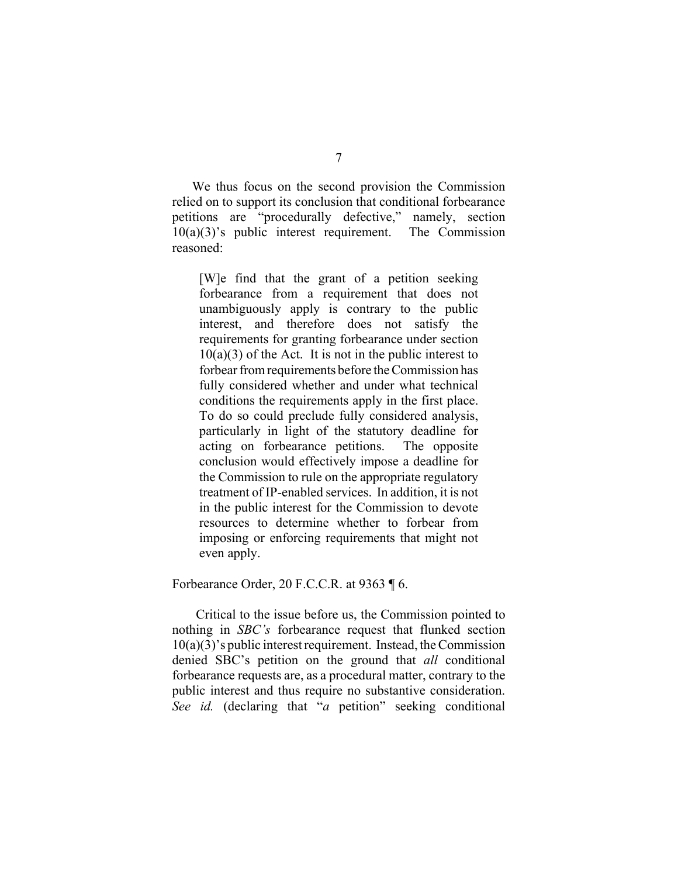We thus focus on the second provision the Commission relied on to support its conclusion that conditional forbearance petitions are "procedurally defective," namely, section  $10(a)(3)$ 's public interest requirement. The Commission reasoned:

[W]e find that the grant of a petition seeking forbearance from a requirement that does not unambiguously apply is contrary to the public interest, and therefore does not satisfy the requirements for granting forbearance under section  $10(a)(3)$  of the Act. It is not in the public interest to forbear from requirements before the Commission has fully considered whether and under what technical conditions the requirements apply in the first place. To do so could preclude fully considered analysis, particularly in light of the statutory deadline for acting on forbearance petitions. The opposite conclusion would effectively impose a deadline for the Commission to rule on the appropriate regulatory treatment of IP-enabled services. In addition, it is not in the public interest for the Commission to devote resources to determine whether to forbear from imposing or enforcing requirements that might not even apply.

Forbearance Order, 20 F.C.C.R. at 9363 ¶ 6.

Critical to the issue before us, the Commission pointed to nothing in *SBC's* forbearance request that flunked section  $10(a)(3)$ 's public interest requirement. Instead, the Commission denied SBC's petition on the ground that *all* conditional forbearance requests are, as a procedural matter, contrary to the public interest and thus require no substantive consideration. *See id.* (declaring that "*a* petition" seeking conditional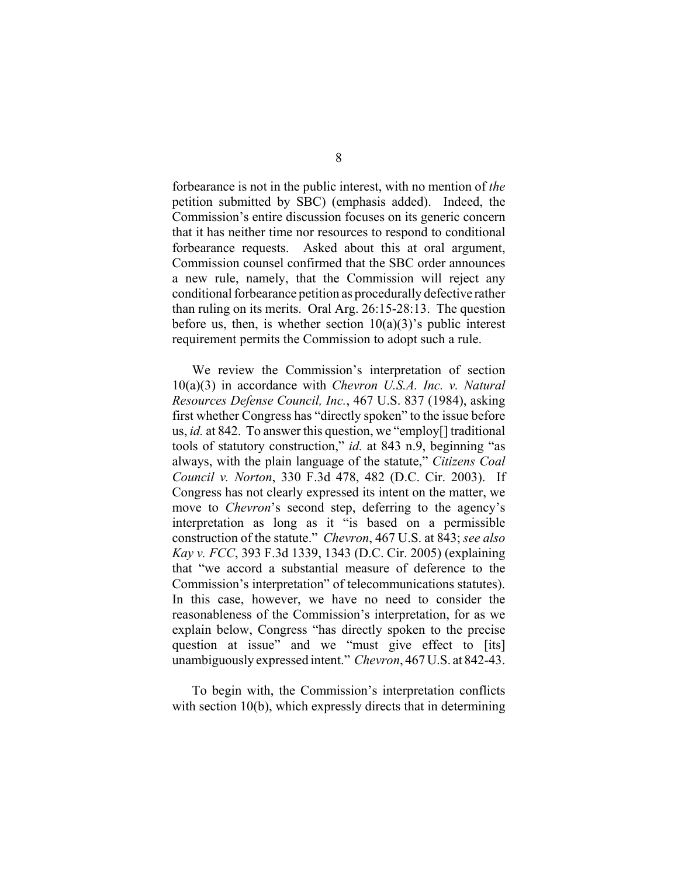forbearance is not in the public interest, with no mention of *the* petition submitted by SBC) (emphasis added). Indeed, the Commission's entire discussion focuses on its generic concern that it has neither time nor resources to respond to conditional forbearance requests. Asked about this at oral argument, Commission counsel confirmed that the SBC order announces a new rule, namely, that the Commission will reject any conditional forbearance petition as procedurally defective rather than ruling on its merits. Oral Arg. 26:15-28:13. The question before us, then, is whether section  $10(a)(3)$ 's public interest requirement permits the Commission to adopt such a rule.

We review the Commission's interpretation of section 10(a)(3) in accordance with *Chevron U.S.A. Inc. v. Natural Resources Defense Council, Inc.*, 467 U.S. 837 (1984), asking first whether Congress has "directly spoken" to the issue before us, *id.* at 842. To answer this question, we "employ[] traditional tools of statutory construction," *id.* at 843 n.9, beginning "as always, with the plain language of the statute," *Citizens Coal Council v. Norton*, 330 F.3d 478, 482 (D.C. Cir. 2003). If Congress has not clearly expressed its intent on the matter, we move to *Chevron*'s second step, deferring to the agency's interpretation as long as it "is based on a permissible construction of the statute." *Chevron*, 467 U.S. at 843; *see also Kay v. FCC*, 393 F.3d 1339, 1343 (D.C. Cir. 2005) (explaining that "we accord a substantial measure of deference to the Commission's interpretation" of telecommunications statutes). In this case, however, we have no need to consider the reasonableness of the Commission's interpretation, for as we explain below, Congress "has directly spoken to the precise question at issue" and we "must give effect to [its] unambiguously expressed intent." *Chevron*, 467 U.S. at 842-43.

To begin with, the Commission's interpretation conflicts with section 10(b), which expressly directs that in determining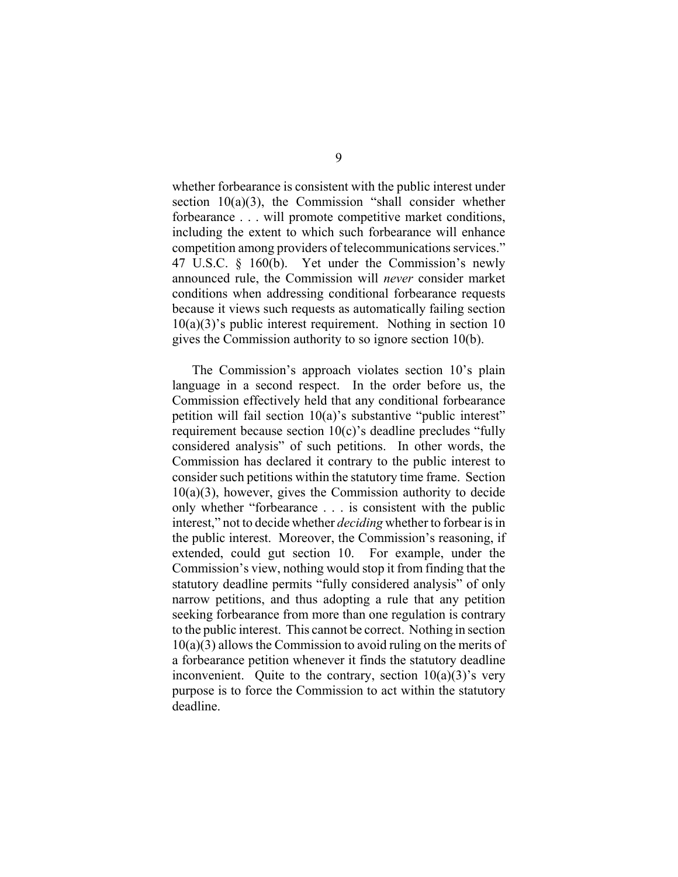whether forbearance is consistent with the public interest under section  $10(a)(3)$ , the Commission "shall consider whether forbearance . . . will promote competitive market conditions, including the extent to which such forbearance will enhance competition among providers of telecommunications services." 47 U.S.C. § 160(b).Yet under the Commission's newly announced rule, the Commission will *never* consider market conditions when addressing conditional forbearance requests because it views such requests as automatically failing section  $10(a)(3)$ 's public interest requirement. Nothing in section 10 gives the Commission authority to so ignore section 10(b).

The Commission's approach violates section 10's plain language in a second respect. In the order before us, the Commission effectively held that any conditional forbearance petition will fail section 10(a)'s substantive "public interest" requirement because section 10(c)'s deadline precludes "fully considered analysis" of such petitions. In other words, the Commission has declared it contrary to the public interest to consider such petitions within the statutory time frame. Section  $10(a)(3)$ , however, gives the Commission authority to decide only whether "forbearance . . . is consistent with the public interest," not to decide whether *deciding* whether to forbear is in the public interest. Moreover, the Commission's reasoning, if extended, could gut section 10. For example, under the Commission's view, nothing would stop it from finding that the statutory deadline permits "fully considered analysis" of only narrow petitions, and thus adopting a rule that any petition seeking forbearance from more than one regulation is contrary to the public interest. This cannot be correct. Nothing in section 10(a)(3) allows the Commission to avoid ruling on the merits of a forbearance petition whenever it finds the statutory deadline inconvenient. Quite to the contrary, section  $10(a)(3)$ 's very purpose is to force the Commission to act within the statutory deadline.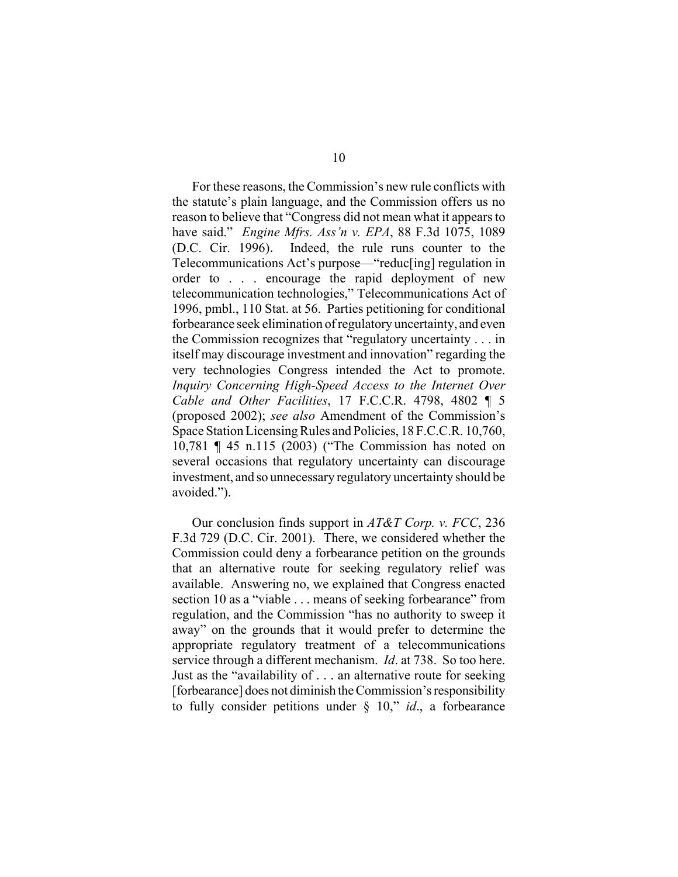For these reasons, the Commission's new rule conflicts with the statute's plain language, and the Commission offers us no reason to believe that "Congress did not mean what it appears to have said." *Engine Mfrs. Ass'n v. EPA*, 88 F.3d 1075, 1089 (D.C. Cir. 1996).Indeed, the rule runs counter to the Telecommunications Act's purpose—"reduc[ing] regulation in order to . . . encourage the rapid deployment of new telecommunication technologies," Telecommunications Act of 1996, pmbl., 110 Stat. at 56. Parties petitioning for conditional forbearance seek elimination of regulatory uncertainty, and even the Commission recognizes that "regulatory uncertainty . . . in itself may discourage investment and innovation" regarding the very technologies Congress intended the Act to promote. *Inquiry Concerning High-Speed Access to the Internet Over Cable and Other Facilities*, 17 F.C.C.R. 4798, 4802 ¶ 5 (proposed 2002); *see also* Amendment of the Commission's Space Station Licensing Rules and Policies, 18 F.C.C.R. 10,760, 10,781 ¶ 45 n.115 (2003) ("The Commission has noted on several occasions that regulatory uncertainty can discourage investment, and so unnecessary regulatory uncertainty should be avoided.").

Our conclusion finds support in *AT&T Corp. v. FCC*, 236 F.3d 729 (D.C. Cir. 2001). There, we considered whether the Commission could deny a forbearance petition on the grounds that an alternative route for seeking regulatory relief was available. Answering no, we explained that Congress enacted section 10 as a "viable . . . means of seeking forbearance" from regulation, and the Commission "has no authority to sweep it away" on the grounds that it would prefer to determine the appropriate regulatory treatment of a telecommunications service through a different mechanism. *Id*. at 738. So too here. Just as the "availability of . . . an alternative route for seeking [forbearance] does not diminish the Commission's responsibility to fully consider petitions under § 10," *id*., a forbearance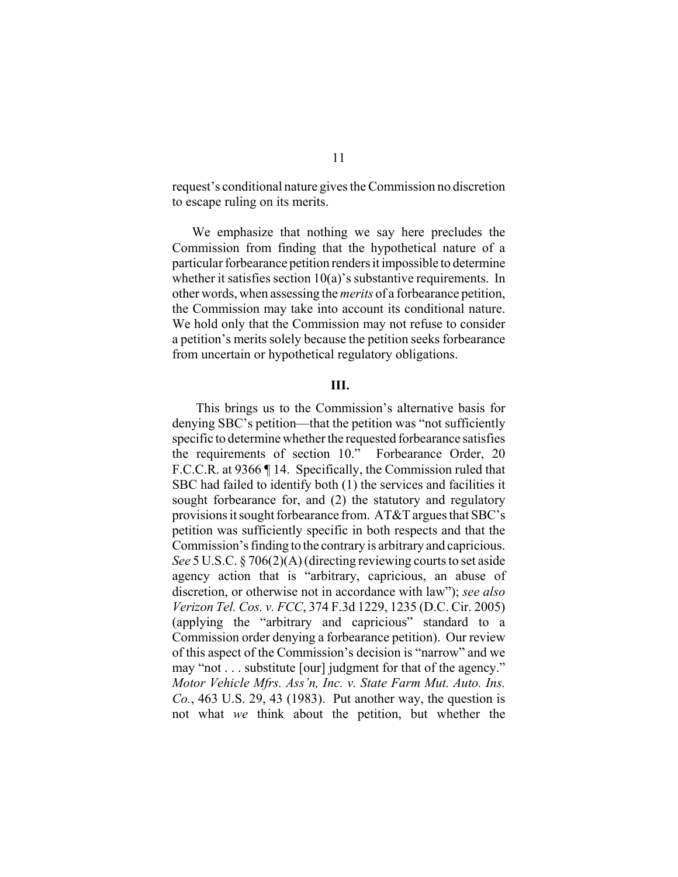request's conditional nature gives the Commission no discretion to escape ruling on its merits.

We emphasize that nothing we say here precludes the Commission from finding that the hypothetical nature of a particular forbearance petition renders it impossible to determine whether it satisfies section  $10(a)$ 's substantive requirements. In other words, when assessing the *merits* of a forbearance petition, the Commission may take into account its conditional nature. We hold only that the Commission may not refuse to consider a petition's merits solely because the petition seeks forbearance from uncertain or hypothetical regulatory obligations.

## **III.**

This brings us to the Commission's alternative basis for denying SBC's petition—that the petition was "not sufficiently specific to determine whether the requested forbearance satisfies the requirements of section 10." Forbearance Order, 20 F.C.C.R. at 9366 ¶ 14. Specifically, the Commission ruled that SBC had failed to identify both (1) the services and facilities it sought forbearance for, and (2) the statutory and regulatory provisions it sought forbearance from. AT&T argues that SBC's petition was sufficiently specific in both respects and that the Commission's finding to the contrary is arbitrary and capricious. *See* 5 U.S.C. § 706(2)(A) (directing reviewing courts to set aside agency action that is "arbitrary, capricious, an abuse of discretion, or otherwise not in accordance with law"); *see also Verizon Tel. Cos. v. FCC*, 374 F.3d 1229, 1235 (D.C. Cir. 2005) (applying the "arbitrary and capricious" standard to a Commission order denying a forbearance petition). Our review of this aspect of the Commission's decision is "narrow" and we may "not . . . substitute [our] judgment for that of the agency." *Motor Vehicle Mfrs. Ass'n, Inc. v. State Farm Mut. Auto. Ins. Co.*, 463 U.S. 29, 43 (1983). Put another way, the question is not what *we* think about the petition, but whether the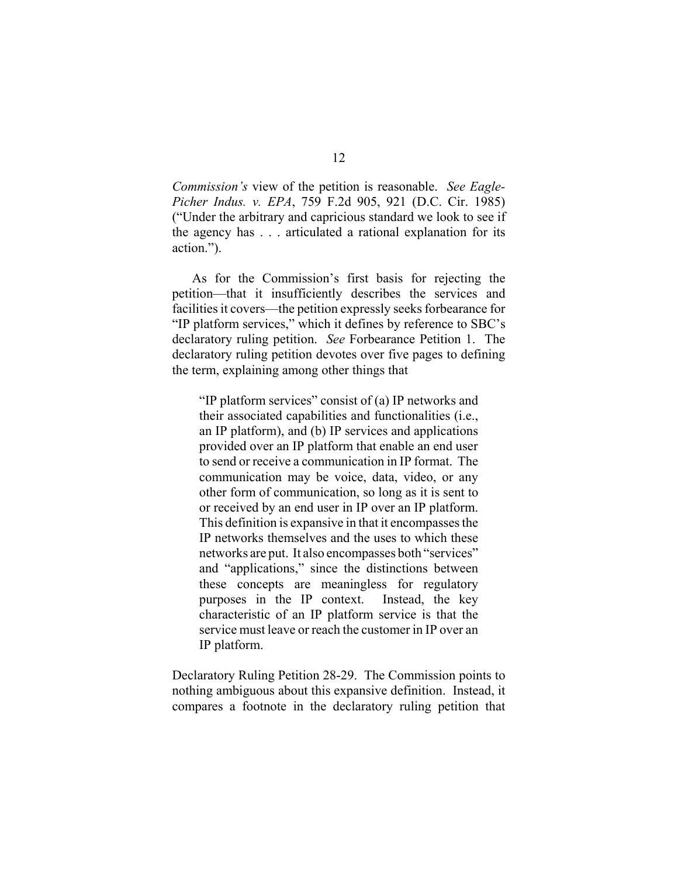*Commission's* view of the petition is reasonable. *See Eagle-Picher Indus. v. EPA*, 759 F.2d 905, 921 (D.C. Cir. 1985) ("Under the arbitrary and capricious standard we look to see if the agency has . . . articulated a rational explanation for its action.").

As for the Commission's first basis for rejecting the petition—that it insufficiently describes the services and facilities it covers—the petition expressly seeks forbearance for "IP platform services," which it defines by reference to SBC's declaratory ruling petition. *See* Forbearance Petition 1. The declaratory ruling petition devotes over five pages to defining the term, explaining among other things that

"IP platform services" consist of (a) IP networks and their associated capabilities and functionalities (i.e., an IP platform), and (b) IP services and applications provided over an IP platform that enable an end user to send or receive a communication in IP format. The communication may be voice, data, video, or any other form of communication, so long as it is sent to or received by an end user in IP over an IP platform. This definition is expansive in that it encompasses the IP networks themselves and the uses to which these networks are put. It also encompasses both "services" and "applications," since the distinctions between these concepts are meaningless for regulatory purposes in the IP context. Instead, the key characteristic of an IP platform service is that the service must leave or reach the customer in IP over an IP platform.

Declaratory Ruling Petition 28-29. The Commission points to nothing ambiguous about this expansive definition. Instead, it compares a footnote in the declaratory ruling petition that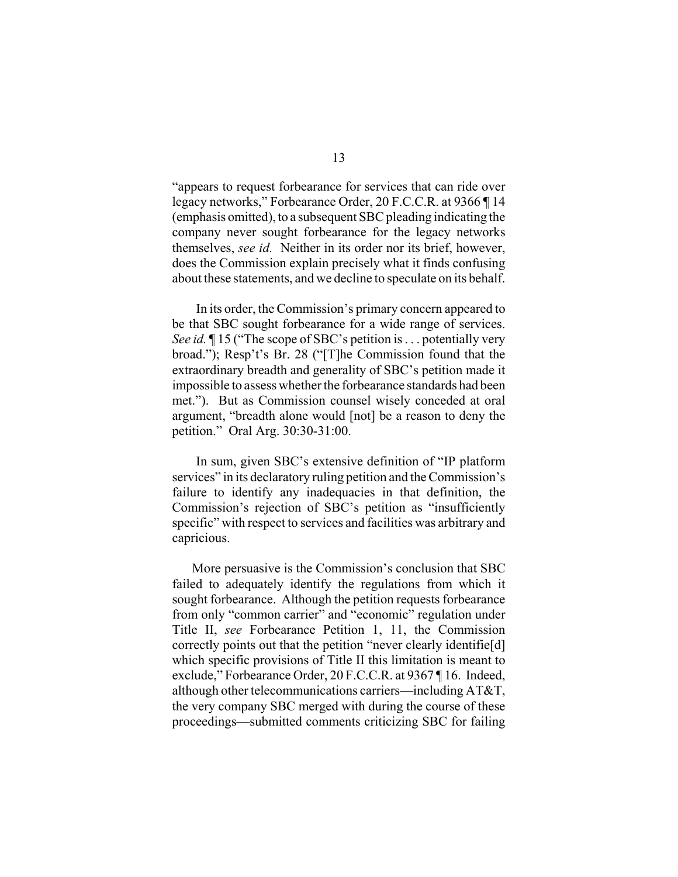"appears to request forbearance for services that can ride over legacy networks," Forbearance Order, 20 F.C.C.R. at 9366 ¶ 14 (emphasis omitted), to a subsequent SBC pleading indicating the company never sought forbearance for the legacy networks themselves, *see id.* Neither in its order nor its brief, however, does the Commission explain precisely what it finds confusing about these statements, and we decline to speculate on its behalf.

In its order, the Commission's primary concern appeared to be that SBC sought forbearance for a wide range of services. *See id.*  $\P$  15 ("The scope of SBC's petition is . . . potentially very broad."); Resp't's Br. 28 ("[T]he Commission found that the extraordinary breadth and generality of SBC's petition made it impossible to assess whether the forbearance standards had been met."). But as Commission counsel wisely conceded at oral argument, "breadth alone would [not] be a reason to deny the petition." Oral Arg. 30:30-31:00.

In sum, given SBC's extensive definition of "IP platform services" in its declaratory ruling petition and the Commission's failure to identify any inadequacies in that definition, the Commission's rejection of SBC's petition as "insufficiently specific" with respect to services and facilities was arbitrary and capricious.

More persuasive is the Commission's conclusion that SBC failed to adequately identify the regulations from which it sought forbearance. Although the petition requests forbearance from only "common carrier" and "economic" regulation under Title II, *see* Forbearance Petition 1, 11, the Commission correctly points out that the petition "never clearly identifie[d] which specific provisions of Title II this limitation is meant to exclude," Forbearance Order, 20 F.C.C.R. at 9367 ¶ 16. Indeed, although other telecommunications carriers—including AT&T, the very company SBC merged with during the course of these proceedings—submitted comments criticizing SBC for failing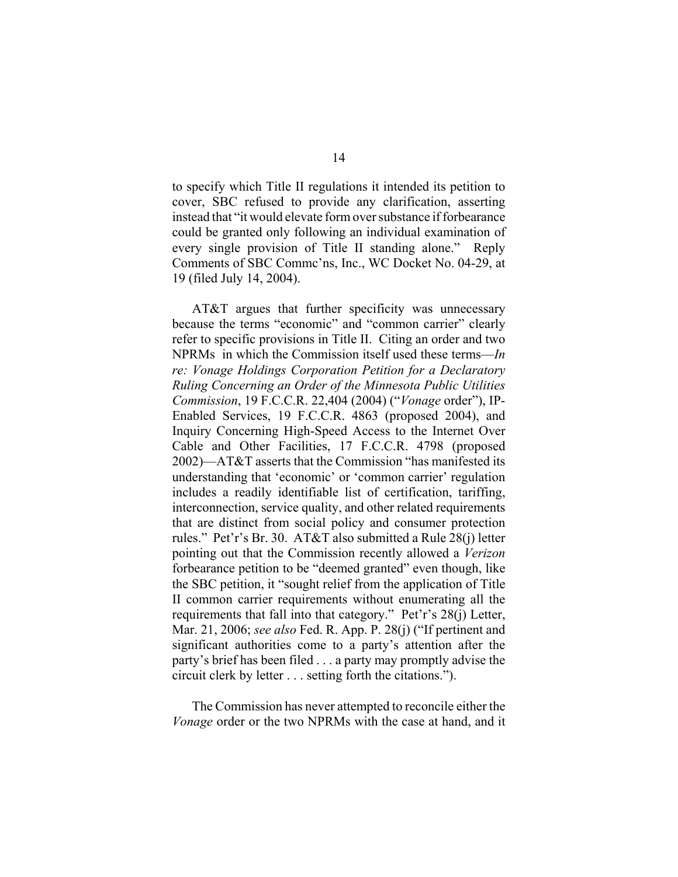to specify which Title II regulations it intended its petition to cover, SBC refused to provide any clarification, asserting instead that "it would elevate form over substance if forbearance could be granted only following an individual examination of every single provision of Title II standing alone." Reply Comments of SBC Commc'ns, Inc., WC Docket No. 04-29, at 19 (filed July 14, 2004).

AT&T argues that further specificity was unnecessary because the terms "economic" and "common carrier" clearly refer to specific provisions in Title II. Citing an order and two NPRMs in which the Commission itself used these terms—*In re: Vonage Holdings Corporation Petition for a Declaratory Ruling Concerning an Order of the Minnesota Public Utilities Commission*, 19 F.C.C.R. 22,404 (2004) ("*Vonage* order"), IP-Enabled Services, 19 F.C.C.R. 4863 (proposed 2004), and Inquiry Concerning High-Speed Access to the Internet Over Cable and Other Facilities, 17 F.C.C.R. 4798 (proposed 2002)—AT&T asserts that the Commission "has manifested its understanding that 'economic' or 'common carrier' regulation includes a readily identifiable list of certification, tariffing, interconnection, service quality, and other related requirements that are distinct from social policy and consumer protection rules." Pet'r's Br. 30. AT&T also submitted a Rule 28(j) letter pointing out that the Commission recently allowed a *Verizon* forbearance petition to be "deemed granted" even though, like the SBC petition, it "sought relief from the application of Title II common carrier requirements without enumerating all the requirements that fall into that category." Pet'r's 28(j) Letter, Mar. 21, 2006; *see also* Fed. R. App. P. 28(j) ("If pertinent and significant authorities come to a party's attention after the party's brief has been filed . . . a party may promptly advise the circuit clerk by letter . . . setting forth the citations.").

The Commission has never attempted to reconcile either the *Vonage* order or the two NPRMs with the case at hand, and it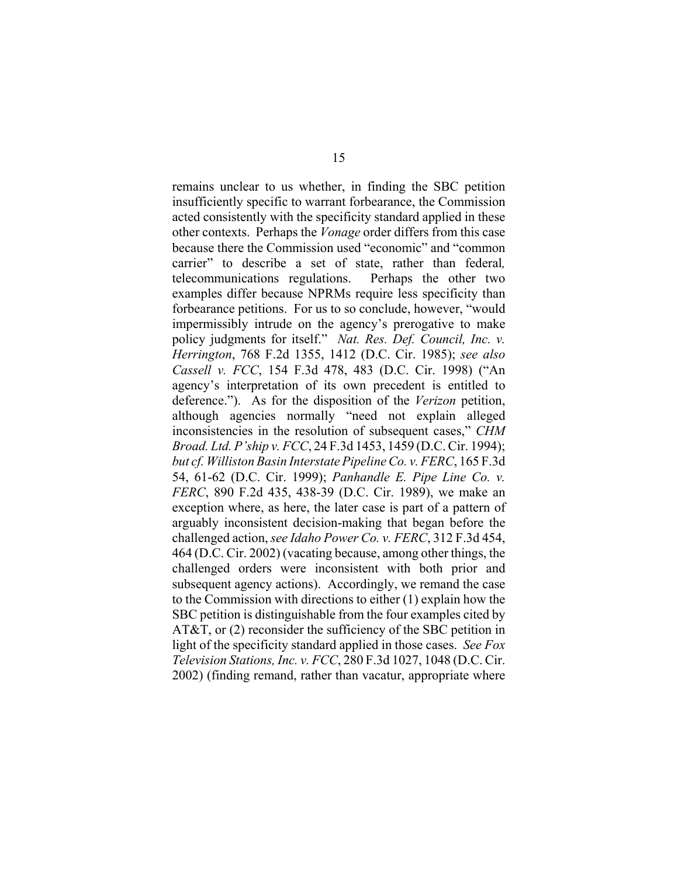remains unclear to us whether, in finding the SBC petition insufficiently specific to warrant forbearance, the Commission acted consistently with the specificity standard applied in these other contexts. Perhaps the *Vonage* order differs from this case because there the Commission used "economic" and "common carrier" to describe a set of state, rather than federal*,* telecommunications regulations. Perhaps the other two examples differ because NPRMs require less specificity than forbearance petitions. For us to so conclude, however, "would impermissibly intrude on the agency's prerogative to make policy judgments for itself." *Nat. Res. Def. Council, Inc. v. Herrington*, 768 F.2d 1355, 1412 (D.C. Cir. 1985); *see also Cassell v. FCC*, 154 F.3d 478, 483 (D.C. Cir. 1998) ("An agency's interpretation of its own precedent is entitled to deference."). As for the disposition of the *Verizon* petition, although agencies normally "need not explain alleged inconsistencies in the resolution of subsequent cases," *CHM Broad. Ltd. P'ship v. FCC*, 24 F.3d 1453, 1459 (D.C. Cir. 1994); *but cf. Williston Basin Interstate Pipeline Co. v. FERC*, 165 F.3d 54, 61-62 (D.C. Cir. 1999); *Panhandle E. Pipe Line Co. v. FERC*, 890 F.2d 435, 438-39 (D.C. Cir. 1989), we make an exception where, as here, the later case is part of a pattern of arguably inconsistent decision-making that began before the challenged action, *see Idaho Power Co. v. FERC*, 312 F.3d 454, 464 (D.C. Cir. 2002) (vacating because, among other things, the challenged orders were inconsistent with both prior and subsequent agency actions). Accordingly, we remand the case to the Commission with directions to either (1) explain how the SBC petition is distinguishable from the four examples cited by AT&T, or (2) reconsider the sufficiency of the SBC petition in light of the specificity standard applied in those cases. *See Fox Television Stations, Inc. v. FCC*, 280 F.3d 1027, 1048 (D.C. Cir. 2002) (finding remand, rather than vacatur, appropriate where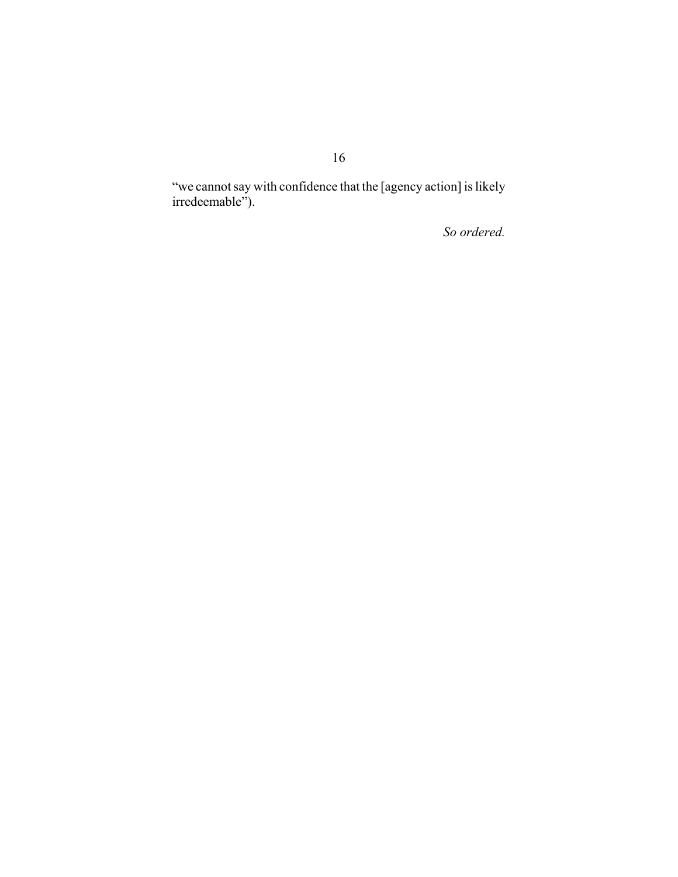"we cannot say with confidence that the [agency action] is likely irredeemable").

 *So ordered.*